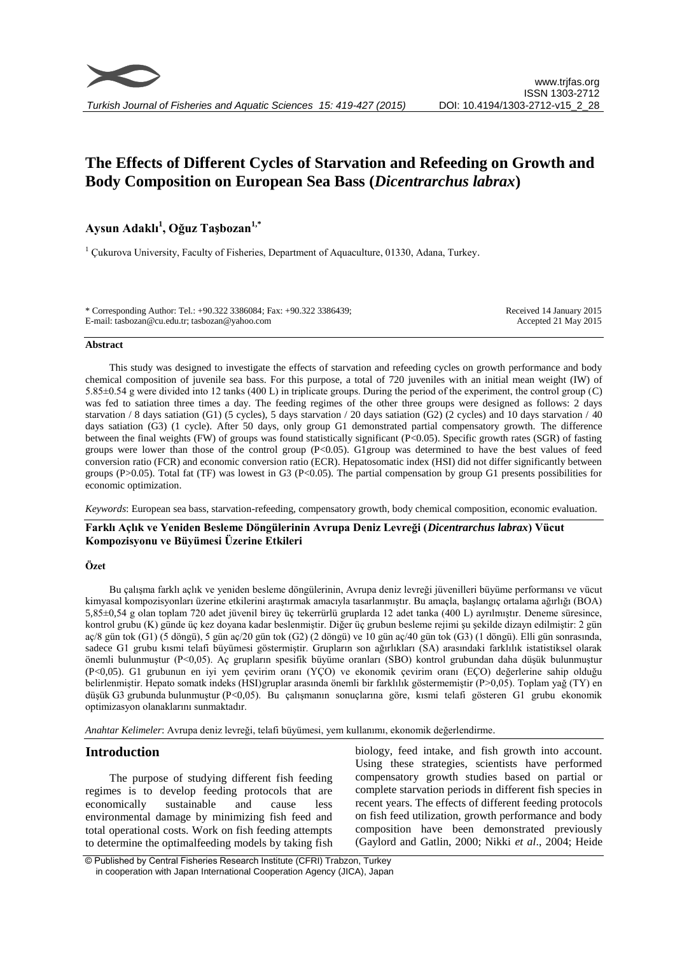# **The Effects of Different Cycles of Starvation and Refeeding on Growth and Body Composition on European Sea Bass (***Dicentrarchus labrax***)**

## **Aysun Adaklı<sup>1</sup> , Oğuz Taşbozan1,\***

 $1$  Cukurova University, Faculty of Fisheries, Department of Aquaculture, 01330, Adana, Turkey.

| * Corresponding Author: Tel.: +90.322 3386084; Fax: +90.322 3386439; | Received 14 January 2015 |
|----------------------------------------------------------------------|--------------------------|
| E-mail: tasbozan@cu.edu.tr; tasbozan@yahoo.com                       | Accepted 21 May 2015     |

#### **Abstract**

This study was designed to investigate the effects of starvation and refeeding cycles on growth performance and body chemical composition of juvenile sea bass. For this purpose, a total of 720 juveniles with an initial mean weight (IW) of 5.85±0.54 g were divided into 12 tanks (400 L) in triplicate groups. During the period of the experiment, the control group (C) was fed to satiation three times a day. The feeding regimes of the other three groups were designed as follows: 2 days starvation / 8 days satiation (G1) (5 cycles), 5 days starvation / 20 days satiation (G2) (2 cycles) and 10 days starvation / 40 days satiation (G3) (1 cycle). After 50 days, only group G1 demonstrated partial compensatory growth. The difference between the final weights (FW) of groups was found statistically significant (P<0.05). Specific growth rates (SGR) of fasting groups were lower than those of the control group (P<0.05). G1group was determined to have the best values of feed conversion ratio (FCR) and economic conversion ratio (ECR). Hepatosomatic index (HSI) did not differ significantly between groups (P>0.05). Total fat (TF) was lowest in G3 (P<0.05). The partial compensation by group G1 presents possibilities for economic optimization.

*Keywords*: European sea bass, starvation-refeeding, compensatory growth, body chemical composition, economic evaluation.

## **Farklı Açlık ve Yeniden Besleme Döngülerinin Avrupa Deniz Levreği (***Dicentrarchus labrax***) Vücut Kompozisyonu ve Büyümesi Üzerine Etkileri**

## **Özet**

Bu çalışma farklı açlık ve yeniden besleme döngülerinin, Avrupa deniz levreği jüvenilleri büyüme performansı ve vücut kimyasal kompozisyonları üzerine etkilerini araştırmak amacıyla tasarlanmıştır. Bu amaçla, başlangıç ortalama ağırlığı (BOA) 5,85±0,54 g olan toplam 720 adet jüvenil birey üç tekerrürlü gruplarda 12 adet tanka (400 L) ayrılmıştır. Deneme süresince, kontrol grubu (K) günde üç kez doyana kadar beslenmiştir. Diğer üç grubun besleme rejimi şu şekilde dizayn edilmiştir: 2 gün aç/8 gün tok (G1) (5 döngü), 5 gün aç/20 gün tok (G2) (2 döngü) ve 10 gün aç/40 gün tok (G3) (1 döngü). Elli gün sonrasında, sadece G1 grubu kısmi telafi büyümesi göstermiştir. Grupların son ağırlıkları (SA) arasındaki farklılık istatistiksel olarak önemli bulunmuştur (P<0,05). Aç grupların spesifik büyüme oranları (SBO) kontrol grubundan daha düşük bulunmuştur (P<0,05). G1 grubunun en iyi yem çevirim oranı (YÇO) ve ekonomik çevirim oranı (EÇO) değerlerine sahip olduğu belirlenmiştir. Hepato somatk indeks (HSI)gruplar arasında önemli bir farklılık göstermemiştir (P>0,05). Toplam yağ (TY) en düşük G3 grubunda bulunmuştur (P<0,05). Bu çalışmanın sonuçlarına göre, kısmi telafi gösteren G1 grubu ekonomik optimizasyon olanaklarını sunmaktadır.

*Anahtar Kelimeler*: Avrupa deniz levreği, telafi büyümesi, yem kullanımı, ekonomik değerlendirme.

## **Introduction**

The purpose of studying different fish feeding regimes is to develop feeding protocols that are economically sustainable and cause less environmental damage by minimizing fish feed and total operational costs. Work on fish feeding attempts to determine the optimalfeeding models by taking fish

biology, feed intake, and fish growth into account. Using these strategies, scientists have performed compensatory growth studies based on partial or complete starvation periods in different fish species in recent years. The effects of different feeding protocols on fish feed utilization, growth performance and body composition have been demonstrated previously (Gaylord and Gatlin, 2000; Nikki *et al*., 2004; Heide

<sup>©</sup> Published by Central Fisheries Research Institute (CFRI) Trabzon, Turkey in cooperation with Japan International Cooperation Agency (JICA), Japan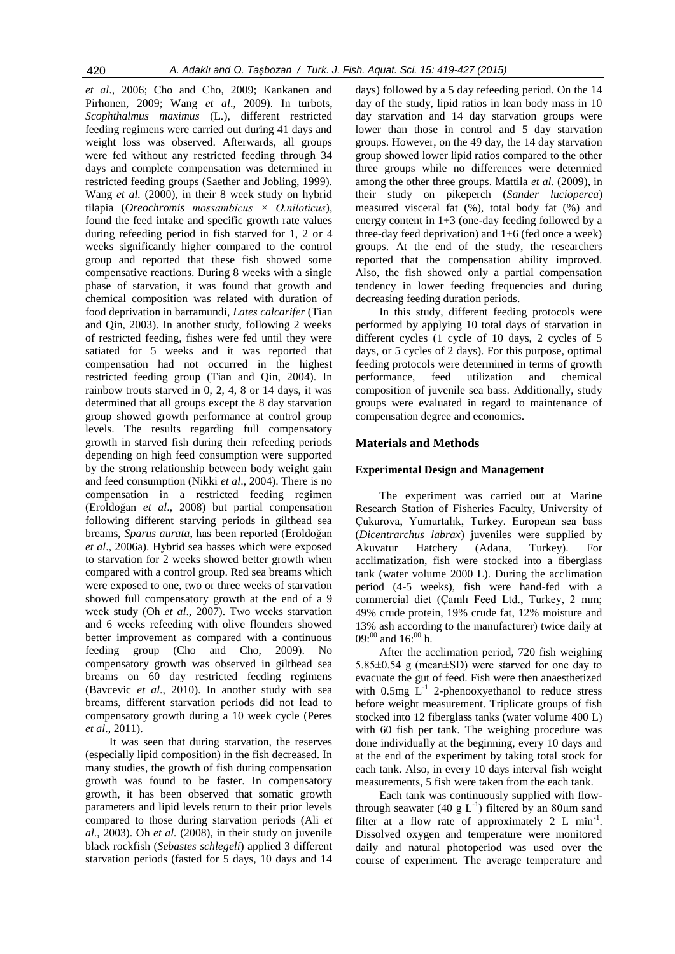*et al*., 2006; Cho and Cho, 2009; Kankanen and Pirhonen, 2009; Wang *et al*., 2009). In turbots, *Scophthalmus maximus* (L.), different restricted feeding regimens were carried out during 41 days and weight loss was observed. Afterwards, all groups were fed without any restricted feeding through 34 days and complete compensation was determined in restricted feeding groups (Saether and Jobling, 1999). Wang *et al.* (2000), in their 8 week study on hybrid tilapia (*Oreochromis mossambicus × O.niloticus*), found the feed intake and specific growth rate values during refeeding period in fish starved for 1, 2 or 4 weeks significantly higher compared to the control group and reported that these fish showed some compensative reactions. During 8 weeks with a single phase of starvation, it was found that growth and chemical composition was related with duration of food deprivation in barramundi, *Lates calcarifer* (Tian and Qin, 2003). In another study, following 2 weeks of restricted feeding, fishes were fed until they were satiated for 5 weeks and it was reported that compensation had not occurred in the highest restricted feeding group (Tian and Qin, 2004). In rainbow trouts starved in 0, 2, 4, 8 or 14 days, it was determined that all groups except the 8 day starvation group showed growth performance at control group levels. The results regarding full compensatory growth in starved fish during their refeeding periods depending on high feed consumption were supported by the strong relationship between body weight gain and feed consumption (Nikki *et al*., 2004). There is no compensation in a restricted feeding regimen (Eroldoğan *et al*., 2008) but partial compensation following different starving periods in gilthead sea breams, *Sparus aurata*, has been reported (Eroldoğan *et al*., 2006a). Hybrid sea basses which were exposed to starvation for 2 weeks showed better growth when compared with a control group. Red sea breams which were exposed to one, two or three weeks of starvation showed full compensatory growth at the end of a 9 week study (Oh *et al*., 2007). Two weeks starvation and 6 weeks refeeding with olive flounders showed better improvement as compared with a continuous feeding group (Cho and Cho, 2009). No compensatory growth was observed in gilthead sea breams on 60 day restricted feeding regimens (Bavcevic *et al*., 2010). In another study with sea breams, different starvation periods did not lead to compensatory growth during a 10 week cycle (Peres *et al*., 2011).

It was seen that during starvation, the reserves (especially lipid composition) in the fish decreased. In many studies, the growth of fish during compensation growth was found to be faster. In compensatory growth, it has been observed that somatic growth parameters and lipid levels return to their prior levels compared to those during starvation periods (Ali *et al*., 2003). Oh *et al.* (2008), in their study on juvenile black rockfish (*Sebastes schlegeli*) applied 3 different starvation periods (fasted for 5 days, 10 days and 14

days) followed by a 5 day refeeding period. On the 14 day of the study, lipid ratios in lean body mass in 10 day starvation and 14 day starvation groups were lower than those in control and 5 day starvation groups. However, on the 49 day, the 14 day starvation group showed lower lipid ratios compared to the other three groups while no differences were determied among the other three groups. Mattila *et al.* (2009), in their study on pikeperch (*Sander lucioperca*) measured visceral fat (%), total body fat (%) and energy content in 1+3 (one-day feeding followed by a three-day feed deprivation) and 1+6 (fed once a week) groups. At the end of the study, the researchers reported that the compensation ability improved. Also, the fish showed only a partial compensation tendency in lower feeding frequencies and during decreasing feeding duration periods.

In this study, different feeding protocols were performed by applying 10 total days of starvation in different cycles (1 cycle of 10 days, 2 cycles of 5 days, or 5 cycles of 2 days). For this purpose, optimal feeding protocols were determined in terms of growth performance, feed utilization and chemical composition of juvenile sea bass. Additionally, study groups were evaluated in regard to maintenance of compensation degree and economics.

## **Materials and Methods**

#### **Experimental Design and Management**

The experiment was carried out at Marine Research Station of Fisheries Faculty, University of Çukurova, Yumurtalık, Turkey. European sea bass (*Dicentrarchus labrax*) juveniles were supplied by Akuvatur Hatchery (Adana, Turkey). For acclimatization, fish were stocked into a fiberglass tank (water volume 2000 L). During the acclimation period (4-5 weeks), fish were hand-fed with a commercial diet (Çamlı Feed Ltd., Turkey, 2 mm; 49% crude protein, 19% crude fat, 12% moisture and 13% ash according to the manufacturer) twice daily at  $09:00$  and  $16:00$  h.

After the acclimation period, 720 fish weighing 5.85±0.54 g (mean±SD) were starved for one day to evacuate the gut of feed. Fish were then anaesthetized with  $0.5$ mg  $L^{-1}$  2-phenooxyethanol to reduce stress before weight measurement. Triplicate groups of fish stocked into 12 fiberglass tanks (water volume 400 L) with 60 fish per tank. The weighing procedure was done individually at the beginning, every 10 days and at the end of the experiment by taking total stock for each tank. Also, in every 10 days interval fish weight measurements, 5 fish were taken from the each tank.

Each tank was continuously supplied with flowthrough seawater (40 g  $L^{-1}$ ) filtered by an 80µm sand filter at a flow rate of approximately  $2 \text{ L} \text{ min}^{-1}$ . Dissolved oxygen and temperature were monitored daily and natural photoperiod was used over the course of experiment. The average temperature and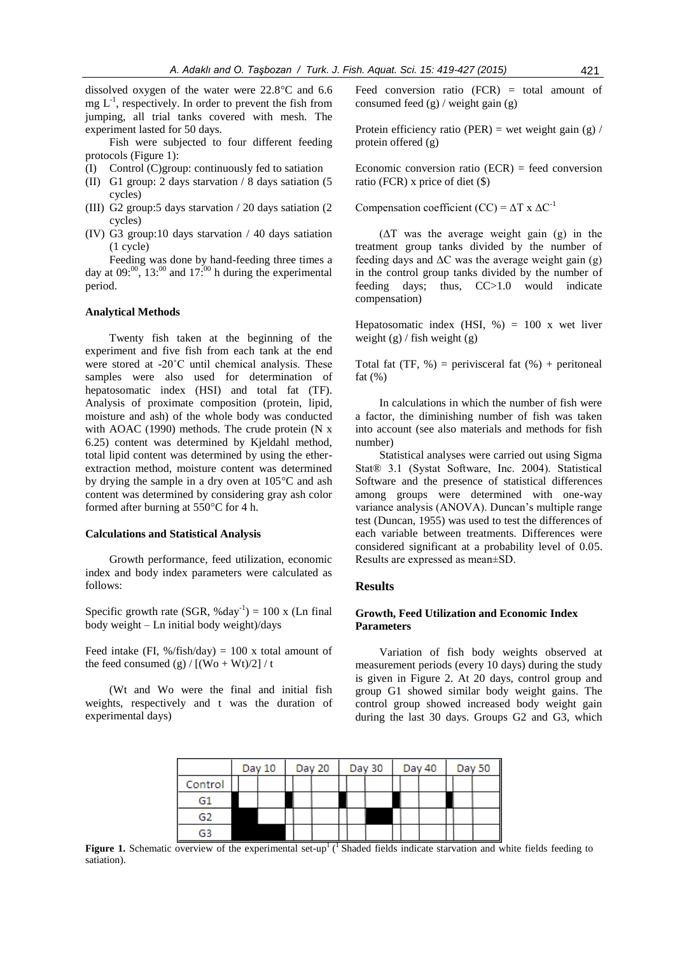dissolved oxygen of the water were 22.8°C and 6.6  $mg L^{-1}$ , respectively. In order to prevent the fish from jumping, all trial tanks covered with mesh. The experiment lasted for 50 days.

Fish were subjected to four different feeding protocols (Figure 1):

- (I) Control (C)group: continuously fed to satiation
- (II) G1 group: 2 days starvation / 8 days satiation (5 cycles)
- (III) G2 group:5 days starvation / 20 days satiation (2 cycles)
- (IV) G3 group:10 days starvation / 40 days satiation (1 cycle)

Feeding was done by hand-feeding three times a day at  $0.000$ ,  $13$ <sup>00</sup> and  $17$ <sup>00</sup> h during the experimental period.

#### **Analytical Methods**

Twenty fish taken at the beginning of the experiment and five fish from each tank at the end were stored at -20˚C until chemical analysis. These samples were also used for determination of hepatosomatic index (HSI) and total fat (TF). Analysis of proximate composition (protein, lipid, moisture and ash) of the whole body was conducted with AOAC (1990) methods. The crude protein (N x 6.25) content was determined by Kjeldahl method, total lipid content was determined by using the etherextraction method, moisture content was determined by drying the sample in a dry oven at 105°C and ash content was determined by considering gray ash color formed after burning at 550°C for 4 h.

#### **Calculations and Statistical Analysis**

Growth performance, feed utilization, economic index and body index parameters were calculated as follows:

Specific growth rate (SGR, %day<sup>-1</sup>) = 100 x (Ln final body weight – Ln initial body weight)/days

Feed intake (FI, %/fish/day) = 100 x total amount of the feed consumed (g) /  $[(Wo + Wt)/2]/t$ 

(Wt and Wo were the final and initial fish weights, respectively and t was the duration of experimental days)

Feed conversion ratio (FCR) = total amount of consumed feed  $(g)$  / weight gain  $(g)$ 

Protein efficiency ratio (PER) = wet weight gain (g) / protein offered (g)

Economic conversion ratio  $(ECR)$  = feed conversion ratio (FCR) x price of diet (\$)

Compensation coefficient (CC) =  $\Delta$ T x  $\Delta$ C<sup>-1</sup>

 $(\Delta T$  was the average weight gain (g) in the treatment group tanks divided by the number of feeding days and  $\Delta C$  was the average weight gain (g) in the control group tanks divided by the number of feeding days; thus, CC>1.0 would indicate compensation)

Hepatosomatic index (HSI,  $\%$ ) = 100 x wet liver weight  $(g)$  / fish weight  $(g)$ 

Total fat  $(TF, %)$  = perivisceral fat  $(% )$  + peritoneal fat  $(\%)$ 

In calculations in which the number of fish were a factor, the diminishing number of fish was taken into account (see also materials and methods for fish number)

Statistical analyses were carried out using Sigma Stat® 3.1 (Systat Software, Inc. 2004). Statistical Software and the presence of statistical differences among groups were determined with one-way variance analysis (ANOVA). Duncan's multiple range test (Duncan, 1955) was used to test the differences of each variable between treatments. Differences were considered significant at a probability level of 0.05. Results are expressed as mean±SD.

#### **Results**

## **Growth, Feed Utilization and Economic Index Parameters**

Variation of fish body weights observed at measurement periods (every 10 days) during the study is given in Figure 2. At 20 days, control group and group G1 showed similar body weight gains. The control group showed increased body weight gain during the last 30 days. Groups G2 and G3, which

|         | Day 10 | Day 20 |  | Day 30 |  | Day 40 |  | Day 50 |
|---------|--------|--------|--|--------|--|--------|--|--------|
| Control |        |        |  |        |  |        |  |        |
| G1      |        |        |  |        |  |        |  |        |
| G2      |        |        |  |        |  |        |  |        |
| G3      |        |        |  |        |  |        |  |        |

**Figure 1.** Schematic overview of the experimental set-up<sup>1</sup> (<sup>1</sup> Shaded fields indicate starvation and white fields feeding to satiation).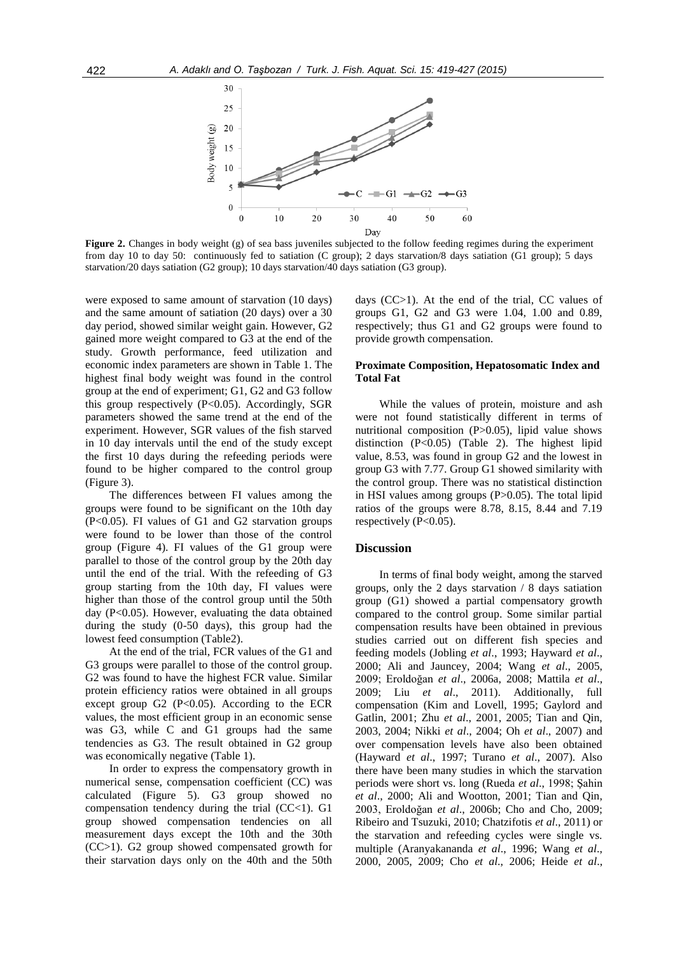

**Figure 2.** Changes in body weight (g) of sea bass juveniles subjected to the follow feeding regimes during the experiment from day 10 to day 50: continuously fed to satiation (C group); 2 days starvation/8 days satiation (G1 group); 5 days starvation/20 days satiation (G2 group); 10 days starvation/40 days satiation (G3 group).

were exposed to same amount of starvation (10 days) and the same amount of satiation (20 days) over a 30 day period, showed similar weight gain. However, G2 gained more weight compared to G3 at the end of the study. Growth performance, feed utilization and economic index parameters are shown in Table 1. The highest final body weight was found in the control group at the end of experiment; G1, G2 and G3 follow this group respectively (P<0.05). Accordingly, SGR parameters showed the same trend at the end of the experiment. However, SGR values of the fish starved in 10 day intervals until the end of the study except the first 10 days during the refeeding periods were found to be higher compared to the control group (Figure 3).

The differences between FI values among the groups were found to be significant on the 10th day (P<0.05). FI values of G1 and G2 starvation groups were found to be lower than those of the control group (Figure 4). FI values of the G1 group were parallel to those of the control group by the 20th day until the end of the trial. With the refeeding of G3 group starting from the 10th day, FI values were higher than those of the control group until the 50th day (P<0.05). However, evaluating the data obtained during the study (0-50 days), this group had the lowest feed consumption (Table2).

At the end of the trial, FCR values of the G1 and G3 groups were parallel to those of the control group. G2 was found to have the highest FCR value. Similar protein efficiency ratios were obtained in all groups except group G2  $(P<0.05)$ . According to the ECR values, the most efficient group in an economic sense was G3, while C and G1 groups had the same tendencies as G3. The result obtained in G2 group was economically negative (Table 1).

In order to express the compensatory growth in numerical sense, compensation coefficient (CC) was calculated (Figure 5). G3 group showed no compensation tendency during the trial  $(CC<1)$ . G1 group showed compensation tendencies on all measurement days except the 10th and the 30th (CC>1). G2 group showed compensated growth for their starvation days only on the 40th and the 50th days (CC>1). At the end of the trial, CC values of groups G1, G2 and G3 were 1.04, 1.00 and 0.89, respectively; thus G1 and G2 groups were found to provide growth compensation.

## **Proximate Composition, Hepatosomatic Index and Total Fat**

While the values of protein, moisture and ash were not found statistically different in terms of nutritional composition (P>0.05), lipid value shows distinction (P<0.05) (Table 2). The highest lipid value, 8.53, was found in group G2 and the lowest in group G3 with 7.77. Group G1 showed similarity with the control group. There was no statistical distinction in HSI values among groups (P>0.05). The total lipid ratios of the groups were 8.78, 8.15, 8.44 and 7.19 respectively  $(P<0.05)$ .

#### **Discussion**

In terms of final body weight, among the starved groups, only the 2 days starvation / 8 days satiation group (G1) showed a partial compensatory growth compared to the control group. Some similar partial compensation results have been obtained in previous studies carried out on different fish species and feeding models (Jobling *et al*., 1993; Hayward *et al*., 2000; Ali and Jauncey, 2004; Wang *et al*., 2005, 2009; Eroldoğan *et al*., 2006a, 2008; Mattila *et al*., 2009; Liu *et al*., 2011). Additionally, full compensation (Kim and Lovell, 1995; Gaylord and Gatlin, 2001; Zhu *et al*., 2001, 2005; Tian and Qin, 2003, 2004; Nikki *et al*., 2004; Oh *et al*., 2007) and over compensation levels have also been obtained (Hayward *et al*., 1997; Turano *et al*., 2007). Also there have been many studies in which the starvation periods were short vs. long (Rueda *et al*., 1998; Şahin *et al*., 2000; Ali and Wootton, 2001; Tian and Qin, 2003, Eroldoğan *et al*., 2006b; Cho and Cho, 2009; Ribeiro and Tsuzuki, 2010; Chatzifotis *et al*., 2011) or the starvation and refeeding cycles were single vs. multiple (Aranyakananda *et al*., 1996; Wang *et al*., 2000, 2005, 2009; Cho *et al*., 2006; Heide *et al*.,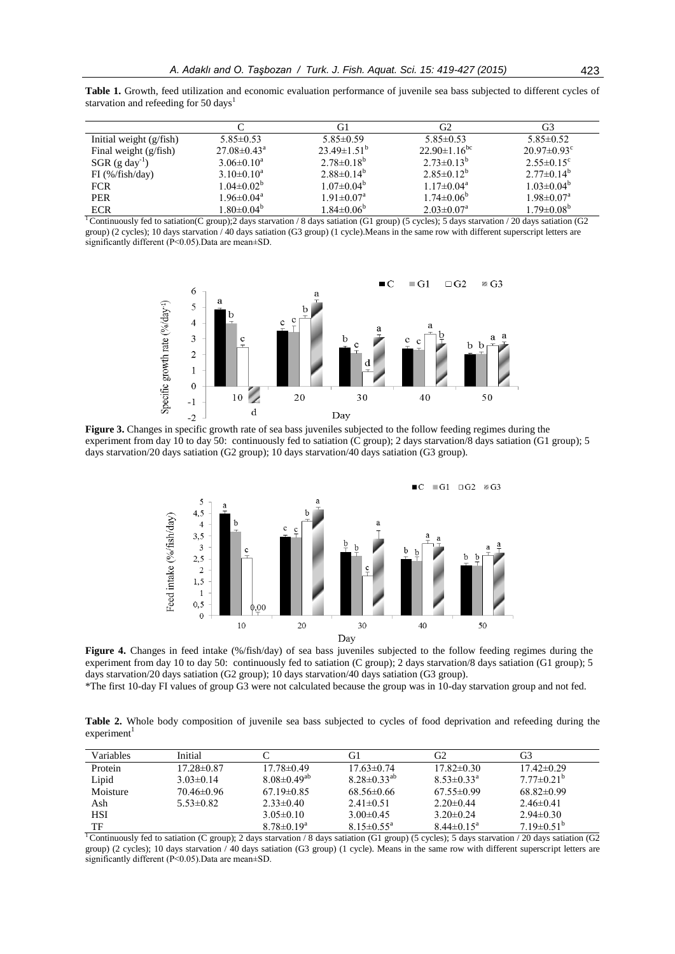|  |                                                   |  | <b>Table 1.</b> Growth, feed utilization and economic evaluation performance of juvenile sea bass subjected to different cycles of |  |  |  |  |  |
|--|---------------------------------------------------|--|------------------------------------------------------------------------------------------------------------------------------------|--|--|--|--|--|
|  | starvation and refeeding for 50 days <sup>1</sup> |  |                                                                                                                                    |  |  |  |  |  |

|                           |                              | G1                           | G2                             | G3                           |
|---------------------------|------------------------------|------------------------------|--------------------------------|------------------------------|
| Initial weight $(g/fish)$ | $5.85\pm0.53$                | $5.85\pm0.59$                | $5.85\pm0.53$                  | $5.85\pm0.52$                |
| Final weight $(g/fish)$   | $27.08 \pm 0.43^{\rm a}$     | $23.49 \pm 1.51^{\circ}$     | $22.90 \pm 1.16$ <sup>bc</sup> | $20.97\pm0.93^{\circ}$       |
| $SGR (g day-1)$           | $3.06 \pm 0.10^a$            | $2.78\pm0.18^{b}$            | $2.73 \pm 0.13^b$              | $2.55 \pm 0.15$ <sup>c</sup> |
| $FI$ (%/fish/day)         | $3.10\pm0.10^a$              | $2.88\pm0.14^{b}$            | $2.85 \pm 0.12^b$              | $2.77\pm0.14^{b}$            |
| <b>FCR</b>                | $1.04 \pm 0.02^b$            | $1.07 \pm 0.04^b$            | $1.17 \pm 0.04^{\text{a}}$     | $1.03 \pm 0.04^b$            |
| <b>PER</b>                | $1.96 \pm 0.04$ <sup>a</sup> | $1.91 \pm 0.07$ <sup>a</sup> | $1.74 \pm 0.06^b$              | $1.98 \pm 0.07$ <sup>a</sup> |
| <b>ECR</b>                | $1.80 \pm 0.04^b$            | $1.84 \pm 0.06^b$            | $2.03 \pm 0.07$ <sup>a</sup>   | $1.79 \pm 0.08^b$            |

<sup>1</sup>Continuously fed to satiation(C group); 2 days starvation / 8 days satiation (G1 group) (5 cycles); 5 days starvation / 20 days satiation (G2 group) (2 cycles); 10 days starvation / 40 days satiation (G3 group) (1 cycle).Means in the same row with different superscript letters are significantly different (P<0.05).Data are mean±SD.



**Figure 3.** Changes in specific growth rate of sea bass juveniles subjected to the follow feeding regimes during the experiment from day 10 to day 50: continuously fed to satiation (C group); 2 days starvation/8 days satiation (G1 group); 5 days starvation/20 days satiation (G2 group); 10 days starvation/40 days satiation (G3 group).



**Figure 4.** Changes in feed intake (%/fish/day) of sea bass juveniles subjected to the follow feeding regimes during the experiment from day 10 to day 50: continuously fed to satiation (C group); 2 days starvation/8 days satiation (G1 group); 5 days starvation/20 days satiation (G2 group); 10 days starvation/40 days satiation (G3 group).

\*The first 10-day FI values of group G3 were not calculated because the group was in 10-day starvation group and not fed.

Table 2. Whole body composition of juvenile sea bass subjected to cycles of food deprivation and refeeding during the  $experiment<sup>1</sup>$ 

| Variables  | Initial          |                    | G1                         | G2                         | G3                |
|------------|------------------|--------------------|----------------------------|----------------------------|-------------------|
| Protein    | $17.28 \pm 0.87$ | $17.78\pm0.49$     | $17.63 \pm 0.74$           | $17.82 \pm 0.30$           | $17.42\pm0.29$    |
| Lipid      | $3.03\pm0.14$    | $8.08\pm0.49^{ab}$ | $8.28 \pm 0.33^{ab}$       | $8.53 \pm 0.33^{\text{a}}$ | $7.77\pm0.21^{b}$ |
| Moisture   | $70.46\pm0.96$   | $67.19 \pm 0.85$   | $68.56\pm0.66$             | $67.55 \pm 0.99$           | $68.82\pm0.99$    |
| Ash        | $5.53 \pm 0.82$  | $2.33\pm 0.40$     | $2.41 \pm 0.51$            | $2.20\pm 0.44$             | $2.46\pm0.41$     |
| <b>HSI</b> |                  | $3.05\pm0.10$      | $3.00\pm0.45$              | $3.20 \pm 0.24$            | $2.94\pm0.30$     |
| TF         |                  | $8.78 \pm 0.19^a$  | $8.15 \pm 0.55^{\text{a}}$ | $8.44 \pm 0.15^a$          | $719\pm0.51b$     |

<sup>1</sup>Continuously fed to satiation (C group); 2 days starvation / 8 days satiation (G1 group) (5 cycles); 5 days starvation  $\overline{O(}Q2)$  days satiation (G2 group) (2 cycles); 10 days starvation / 40 days satiation (G3 group) (1 cycle). Means in the same row with different superscript letters are significantly different (P<0.05).Data are mean±SD.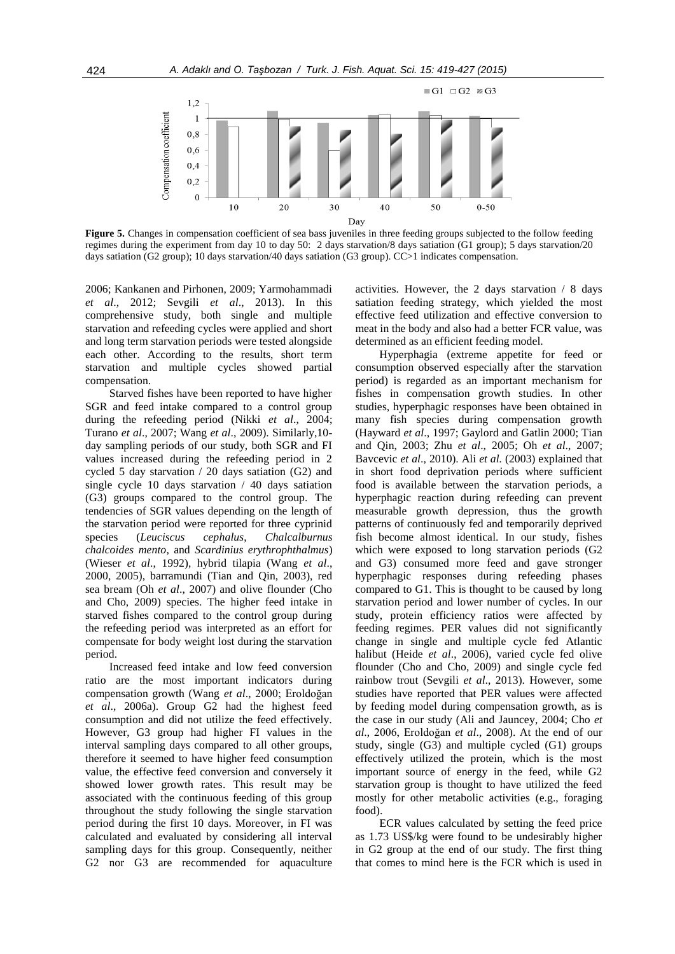

**Figure 5.** Changes in compensation coefficient of sea bass juveniles in three feeding groups subjected to the follow feeding regimes during the experiment from day 10 to day 50: 2 days starvation/8 days satiation (G1 group); 5 days starvation/20 days satiation (G2 group); 10 days starvation/40 days satiation (G3 group). CC>1 indicates compensation.

2006; Kankanen and Pirhonen, 2009; Yarmohammadi *et al*., 2012; Sevgili *et al*., 2013). In this comprehensive study, both single and multiple starvation and refeeding cycles were applied and short and long term starvation periods were tested alongside each other. According to the results, short term starvation and multiple cycles showed partial compensation.

Starved fishes have been reported to have higher SGR and feed intake compared to a control group during the refeeding period (Nikki *et al*., 2004; Turano *et al*., 2007; Wang *et al*., 2009). Similarly,10 day sampling periods of our study, both SGR and FI values increased during the refeeding period in 2 cycled 5 day starvation / 20 days satiation (G2) and single cycle 10 days starvation / 40 days satiation (G3) groups compared to the control group. The tendencies of SGR values depending on the length of the starvation period were reported for three cyprinid species (*Leuciscus cephalus*, *Chalcalburnus chalcoides mento*, and *Scardinius erythrophthalmus*) (Wieser *et al*., 1992), hybrid tilapia (Wang *et al*., 2000, 2005), barramundi (Tian and Qin, 2003), red sea bream (Oh *et al*., 2007) and olive flounder (Cho and Cho, 2009) species. The higher feed intake in starved fishes compared to the control group during the refeeding period was interpreted as an effort for compensate for body weight lost during the starvation period.

Increased feed intake and low feed conversion ratio are the most important indicators during compensation growth (Wang *et al*., 2000; Eroldoğan *et al*., 2006a). Group G2 had the highest feed consumption and did not utilize the feed effectively. However, G3 group had higher FI values in the interval sampling days compared to all other groups, therefore it seemed to have higher feed consumption value, the effective feed conversion and conversely it showed lower growth rates. This result may be associated with the continuous feeding of this group throughout the study following the single starvation period during the first 10 days. Moreover, in FI was calculated and evaluated by considering all interval sampling days for this group. Consequently, neither G2 nor G3 are recommended for aquaculture activities. However, the 2 days starvation / 8 days satiation feeding strategy, which yielded the most effective feed utilization and effective conversion to meat in the body and also had a better FCR value, was determined as an efficient feeding model.

Hyperphagia (extreme appetite for feed or consumption observed especially after the starvation period) is regarded as an important mechanism for fishes in compensation growth studies. In other studies, hyperphagic responses have been obtained in many fish species during compensation growth (Hayward *et al*., 1997; Gaylord and Gatlin 2000; Tian and Qin, 2003; Zhu *et al*., 2005; Oh *et al*., 2007; Bavcevic *et al*., 2010). Ali *et al.* (2003) explained that in short food deprivation periods where sufficient food is available between the starvation periods, a hyperphagic reaction during refeeding can prevent measurable growth depression, thus the growth patterns of continuously fed and temporarily deprived fish become almost identical. In our study, fishes which were exposed to long starvation periods (G2 and G3) consumed more feed and gave stronger hyperphagic responses during refeeding phases compared to G1. This is thought to be caused by long starvation period and lower number of cycles. In our study, protein efficiency ratios were affected by feeding regimes. PER values did not significantly change in single and multiple cycle fed Atlantic halibut (Heide *et al*., 2006), varied cycle fed olive flounder (Cho and Cho, 2009) and single cycle fed rainbow trout (Sevgili *et al*., 2013). However, some studies have reported that PER values were affected by feeding model during compensation growth, as is the case in our study (Ali and Jauncey, 2004; Cho *et al*., 2006, Eroldoğan *et al*., 2008). At the end of our study, single (G3) and multiple cycled (G1) groups effectively utilized the protein, which is the most important source of energy in the feed, while G2 starvation group is thought to have utilized the feed mostly for other metabolic activities (e.g., foraging food).

ECR values calculated by setting the feed price as 1.73 US\$/kg were found to be undesirably higher in G2 group at the end of our study. The first thing that comes to mind here is the FCR which is used in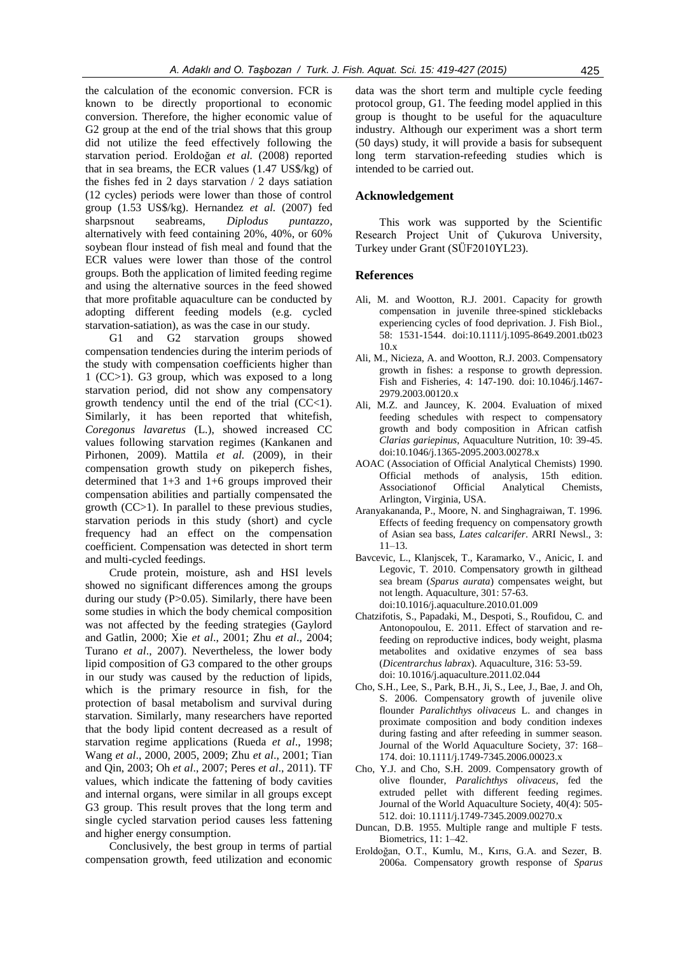the calculation of the economic conversion. FCR is known to be directly proportional to economic conversion. Therefore, the higher economic value of G2 group at the end of the trial shows that this group did not utilize the feed effectively following the starvation period. Eroldoğan *et al.* (2008) reported that in sea breams, the ECR values (1.47 US\$/kg) of the fishes fed in 2 days starvation / 2 days satiation (12 cycles) periods were lower than those of control group (1.53 US\$/kg). Hernandez *et al.* (2007) fed sharpsnout seabreams, *Diplodus puntazzo*, alternatively with feed containing 20%, 40%, or 60% soybean flour instead of fish meal and found that the ECR values were lower than those of the control groups. Both the application of limited feeding regime and using the alternative sources in the feed showed that more profitable aquaculture can be conducted by adopting different feeding models (e.g. cycled starvation-satiation), as was the case in our study.

G1 and G2 starvation groups showed compensation tendencies during the interim periods of the study with compensation coefficients higher than 1 (CC>1). G3 group, which was exposed to a long starvation period, did not show any compensatory growth tendency until the end of the trial  $(CC<1)$ . Similarly, it has been reported that whitefish, *Coregonus lavaretus* (L.), showed increased CC values following starvation regimes (Kankanen and Pirhonen, 2009). Mattila *et al.* (2009), in their compensation growth study on pikeperch fishes, determined that 1+3 and 1+6 groups improved their compensation abilities and partially compensated the growth (CC>1). In parallel to these previous studies, starvation periods in this study (short) and cycle frequency had an effect on the compensation coefficient. Compensation was detected in short term and multi-cycled feedings.

Crude protein, moisture, ash and HSI levels showed no significant differences among the groups during our study (P>0.05). Similarly, there have been some studies in which the body chemical composition was not affected by the feeding strategies (Gaylord and Gatlin, 2000; Xie *et al*., 2001; Zhu *et al*., 2004; Turano *et al*., 2007). Nevertheless, the lower body lipid composition of G3 compared to the other groups in our study was caused by the reduction of lipids, which is the primary resource in fish, for the protection of basal metabolism and survival during starvation. Similarly, many researchers have reported that the body lipid content decreased as a result of starvation regime applications (Rueda *et al*., 1998; Wang *et al*., 2000, 2005, 2009; Zhu *et al*., 2001; Tian and Qin, 2003; Oh *et al*., 2007; Peres *et al*., 2011). TF values, which indicate the fattening of body cavities and internal organs, were similar in all groups except G3 group. This result proves that the long term and single cycled starvation period causes less fattening and higher energy consumption.

Conclusively, the best group in terms of partial compensation growth, feed utilization and economic data was the short term and multiple cycle feeding protocol group, G1. The feeding model applied in this group is thought to be useful for the aquaculture industry. Although our experiment was a short term (50 days) study, it will provide a basis for subsequent long term starvation-refeeding studies which is intended to be carried out.

## **Acknowledgement**

This work was supported by the Scientific Research Project Unit of Çukurova University, Turkey under Grant (SÜF2010YL23).

#### **References**

- Ali, M. and Wootton, R.J. 2001. Capacity for growth compensation in juvenile three-spined sticklebacks experiencing cycles of food deprivation. J. Fish Biol., 58: 1531-1544. doi:10.1111/j.1095-8649.2001.tb023 10.x
- Ali, M., Nicieza, A. and Wootton, R.J. 2003. Compensatory growth in fishes: a response to growth depression. Fish and Fisheries*,* 4: 147-190. doi: 10.1046/j.1467- 2979.2003.00120.x
- Ali, M.Z. and Jauncey, K. 2004. Evaluation of mixed feeding schedules with respect to compensatory growth and body composition in African catfish *Clarias gariepinus*, Aquaculture Nutrition, 10: 39-45. doi:10.1046/j.1365-2095.2003.00278.x
- AOAC (Association of Official Analytical Chemists) 1990. Official methods of analysis, 15th edition. Associationof Official Analytical Chemists, Arlington, Virginia, USA.
- Aranyakananda, P., Moore, N. and Singhagraiwan, T. 1996. Effects of feeding frequency on compensatory growth of Asian sea bass, *Lates calcarifer*. ARRI Newsl., 3: 11–13.
- Bavcevic, L., Klanjscek, T., Karamarko, V., Anicic, I. and Legovic, T. 2010. Compensatory growth in gilthead sea bream (*Sparus aurata*) compensates weight, but not length. Aquaculture, 301: 57-63. doi:10.1016/j.aquaculture.2010.01.009
- Chatzifotis, S., Papadaki, M., Despoti, S., Roufidou, C. and Antonopoulou, E. 2011. Effect of starvation and refeeding on reproductive indices, body weight, plasma metabolites and oxidative enzymes of sea bass (*Dicentrarchus labrax*). Aquaculture, 316: 53-59. doi: 10.1016/j.aquaculture.2011.02.044
- Cho, S.H., Lee, S., Park, B.H., Ji, S., Lee, J., Bae, J. and Oh, S. 2006. Compensatory growth of juvenile olive flounder *Paralichthys olivaceus* L. and changes in proximate composition and body condition indexes during fasting and after refeeding in summer season. Journal of the World Aquaculture Society, 37: 168– 174. doi: 10.1111/j.1749-7345.2006.00023.x
- Cho, Y.J. and Cho, S.H. 2009. Compensatory growth of olive flounder, *Paralichthys olivaceus*, fed the extruded pellet with different feeding regimes. Journal of the World Aquaculture Society, 40(4): 505- 512. doi: 10.1111/j.1749-7345.2009.00270.x
- Duncan, D.B. 1955. Multiple range and multiple F tests. Biometrics, 11: 1–42.
- Eroldoğan, O.T., Kumlu, M., Kırıs, G.A. and Sezer, B. 2006a. Compensatory growth response of *Sparus*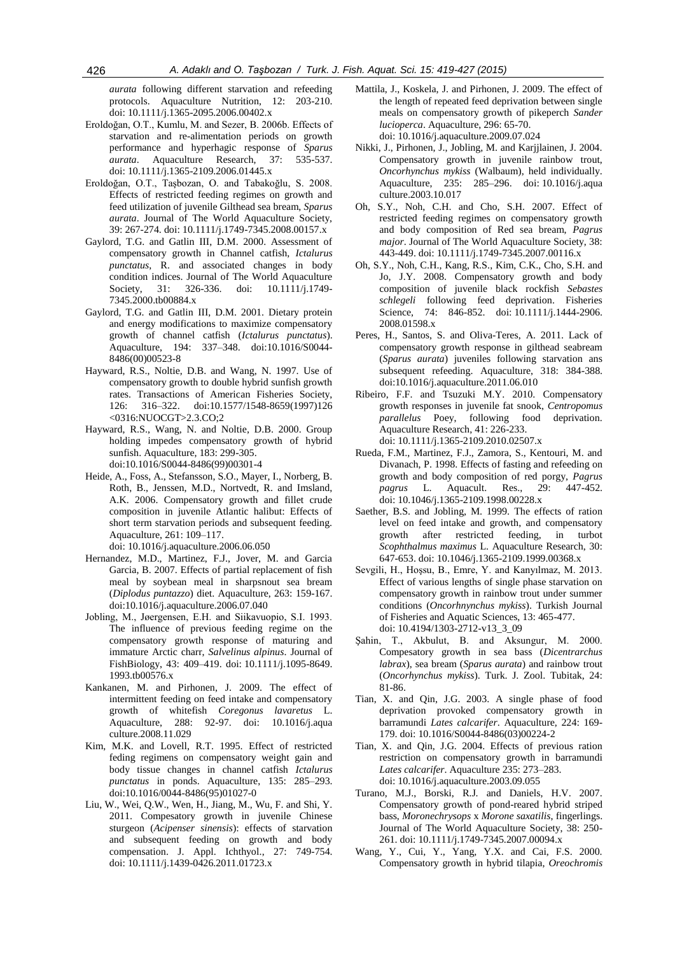*aurata* following different starvation and refeeding protocols. Aquaculture Nutrition, 12: 203-210. doi: 10.1111/j.1365-2095.2006.00402.x

- Eroldoğan, O.T., Kumlu, M. and Sezer, B. 2006b. Effects of starvation and re-alimentation periods on growth performance and hyperhagic response of *Sparus aurata*. Aquaculture Research, 37: 535-537. doi: 10.1111/j.1365-2109.2006.01445.x
- Eroldoğan, O.T., Taşbozan, O. and Tabakoğlu, S. 2008. Effects of restricted feeding regimes on growth and feed utilization of juvenile Gilthead sea bream, *Sparus aurata*. Journal of The World Aquaculture Society, 39: 267-274. doi: 10.1111/j.1749-7345.2008.00157.x
- Gaylord, T.G. and Gatlin III, D.M. 2000. Assessment of compensatory growth in Channel catfish, *Ictalurus punctatus*, R. and associated changes in body condition indices. Journal of The World Aquaculture Society, 31: 326-336. doi: 10.1111/j.1749-7345.2000.tb00884.x
- Gaylord, T.G. and Gatlin III, D.M. 2001. Dietary protein and energy modifications to maximize compensatory growth of channel catfish (*Ictalurus punctatus*). Aquaculture, 194: 337–348. doi:10.1016/S0044- 8486(00)00523-8
- Hayward, R.S., Noltie, D.B. and Wang, N. 1997. Use of compensatory growth to double hybrid sunfish growth rates. Transactions of American Fisheries Society, 126: 316–322. doi:10.1577/1548-8659(1997)126 <0316:NUOCGT>2.3.CO;2
- Hayward, R.S., Wang, N. and Noltie, D.B. 2000. Group holding impedes compensatory growth of hybrid sunfish. Aquaculture, 183: 299-305. doi:10.1016/S0044-8486(99)00301-4
- Heide, A., Foss, A., Stefansson, S.O., Mayer, I., Norberg, B. Roth, B., Jenssen, M.D., Nortvedt, R. and Imsland, A.K. 2006. Compensatory growth and fillet crude composition in juvenile Atlantic halibut: Effects of short term starvation periods and subsequent feeding. Aquaculture, 261: 109–117.
- doi: 10.1016/j.aquaculture.2006.06.050 Hernandez, M.D., Martinez, F.J., Jover, M. and Garcia Garcia, B. 2007. Effects of partial replacement of fish meal by soybean meal in sharpsnout sea bream (*Diplodus puntazzo*) diet. Aquaculture, 263: 159-167.
- doi:10.1016/j.aquaculture.2006.07.040 Jobling, M., Jøergensen, E.H. and Siikavuopio, S.I. 1993. The influence of previous feeding regime on the compensatory growth response of maturing and immature Arctic charr, *Salvelinus alpinus*. Journal of FishBiology, 43: 409–419. doi: 10.1111/j.1095-8649. 1993.tb00576.x
- Kankanen, M. and Pirhonen, J. 2009. The effect of intermittent feeding on feed intake and compensatory growth of whitefish *Coregonus lavaretus* L. Aquaculture, 288: 92-97. doi: 10.1016/j.aqua culture.2008.11.029
- Kim, M.K. and Lovell, R.T. 1995. Effect of restricted feding regimens on compensatory weight gain and body tissue changes in channel catfish *Ictalurus punctatus* in ponds. Aquaculture, 135: 285–293. doi:10.1016/0044-8486(95)01027-0
- Liu, W., Wei, Q.W., Wen, H., Jiang, M., Wu, F. and Shi, Y. 2011. Compesatory growth in juvenile Chinese sturgeon (*Acipenser sinensis*): effects of starvation and subsequent feeding on growth and body compensation. J. Appl. Ichthyol., 27: 749-754. doi: 10.1111/j.1439-0426.2011.01723.x
- Mattila, J., Koskela, J. and Pirhonen, J. 2009. The effect of the length of repeated feed deprivation between single meals on compensatory growth of pikeperch *Sander lucioperca*. Aquaculture, 296: 65-70. doi: 10.1016/j.aquaculture.2009.07.024
- Nikki, J., Pirhonen, J., Jobling, M. and Karjjlainen, J. 2004. Compensatory growth in juvenile rainbow trout, *Oncorhynchus mykiss* (Walbaum), held individually. Aquaculture, 235: 285–296. doi: 10.1016/j.aqua culture.2003.10.017
- Oh, S.Y., Noh, C.H. and Cho, S.H. 2007. Effect of restricted feeding regimes on compensatory growth and body composition of Red sea bream, *Pagrus major*. Journal of The World Aquaculture Society, 38: 443-449. doi: 10.1111/j.1749-7345.2007.00116.x
- Oh, S.Y., Noh, C.H., Kang, R.S., Kim, C.K., Cho, S.H. and Jo, J.Y. 2008. Compensatory growth and body composition of juvenile black rockfish *Sebastes schlegeli* following feed deprivation. Fisheries Science, 74: 846-852. doi: 10.1111/j.1444-2906. 2008.01598.x
- Peres, H., Santos, S. and Oliva-Teres, A. 2011. Lack of compensatory growth response in gilthead seabream (*Sparus aurata*) juveniles following starvation ans subsequent refeeding. Aquaculture, 318: 384-388. doi:10.1016/j.aquaculture.2011.06.010
- Ribeiro, F.F. and Tsuzuki M.Y. 2010. Compensatory growth responses in juvenile fat snook, *Centropomus parallelus* Poey, following food deprivation. Aquaculture Research, 41: 226-233. doi: 10.1111/j.1365-2109.2010.02507.x
- Rueda, F.M., Martinez, F.J., Zamora, S., Kentouri, M. and Divanach, P. 1998. Effects of fasting and refeeding on growth and body composition of red porgy, *Pagrus pagrus* L. Aquacult. Res., 29: 447-452. doi: 10.1046/j.1365-2109.1998.00228.x
- Saether, B.S. and Jobling, M. 1999. The effects of ration level on feed intake and growth, and compensatory growth after restricted feeding, in turbot *Scophthalmus maximus* L. Aquaculture Research, 30: 647-653. doi: 10.1046/j.1365-2109.1999.00368.x
- Sevgili, H., Hoşsu, B., Emre, Y. and Kanyılmaz, M. 2013. Effect of various lengths of single phase starvation on compensatory growth in rainbow trout under summer conditions (*Oncorhnynchus mykiss*). Turkish Journal of Fisheries and Aquatic Sciences, 13: 465-477. doi: 10.4194/1303-2712-v13\_3\_09
- Şahin, T., Akbulut, B. and Aksungur, M. 2000. Compesatory growth in sea bass (*Dicentrarchus labrax*), sea bream (*Sparus aurata*) and rainbow trout (*Oncorhynchus mykiss*). Turk. J. Zool. Tubitak, 24: 81-86.
- Tian, X. and Qin, J.G. 2003. A single phase of food deprivation provoked compensatory growth in barramundi *Lates calcarifer*. Aquaculture, 224: 169- 179. doi: 10.1016/S0044-8486(03)00224-2
- Tian, X. and Qin, J.G. 2004. Effects of previous ration restriction on compensatory growth in barramundi *Lates calcarifer*. Aquaculture 235: 273–283. doi: 10.1016/j.aquaculture.2003.09.055
- Turano, M.J., Borski, R.J. and Daniels, H.V. 2007. Compensatory growth of pond-reared hybrid striped bass, *Moronechrysops* x *Morone saxatilis*, fingerlings. Journal of The World Aquaculture Society, 38: 250- 261. doi: 10.1111/j.1749-7345.2007.00094.x
- Wang, Y., Cui, Y., Yang, Y.X. and Cai, F.S. 2000. Compensatory growth in hybrid tilapia, *Oreochromis*